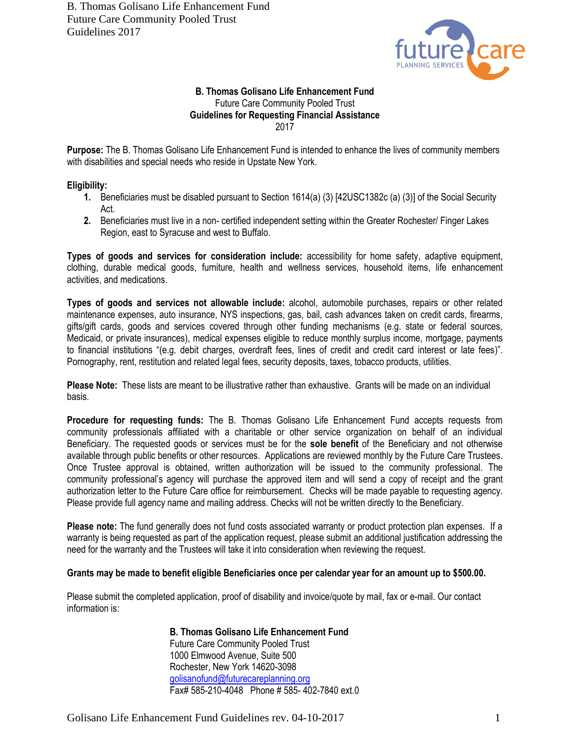B. Thomas Golisano Life Enhancement Fund Future Care Community Pooled Trust Guidelines 2017



## **B. Thomas Golisano Life Enhancement Fund** Future Care Community Pooled Trust **Guidelines for Requesting Financial Assistance** 2017

**Purpose:** The B. Thomas Golisano Life Enhancement Fund is intended to enhance the lives of community members with disabilities and special needs who reside in Upstate New York.

## **Eligibility:**

- **1.** Beneficiaries must be disabled pursuant to Section 1614(a) (3) [42USC1382c (a) (3)] of the Social Security Act.
- **2.** Beneficiaries must live in a non- certified independent setting within the Greater Rochester/ Finger Lakes Region, east to Syracuse and west to Buffalo.

**Types of goods and services for consideration include:** accessibility for home safety, adaptive equipment, clothing, durable medical goods, furniture, health and wellness services, household items, life enhancement activities, and medications.

**Types of goods and services not allowable include:** alcohol, automobile purchases, repairs or other related maintenance expenses, auto insurance, NYS inspections, gas, bail, cash advances taken on credit cards, firearms, gifts/gift cards, goods and services covered through other funding mechanisms (e.g. state or federal sources, Medicaid, or private insurances), medical expenses eligible to reduce monthly surplus income, mortgage, payments to financial institutions "(e.g. debit charges, overdraft fees, lines of credit and credit card interest or late fees)". Pornography, rent, restitution and related legal fees, security deposits, taxes, tobacco products, utilities.

**Please Note:** These lists are meant to be illustrative rather than exhaustive. Grants will be made on an individual basis.

**Procedure for requesting funds:** The B. Thomas Golisano Life Enhancement Fund accepts requests from community professionals affiliated with a charitable or other service organization on behalf of an individual Beneficiary. The requested goods or services must be for the **sole benefit** of the Beneficiary and not otherwise available through public benefits or other resources. Applications are reviewed monthly by the Future Care Trustees. Once Trustee approval is obtained, written authorization will be issued to the community professional. The community professional's agency will purchase the approved item and will send a copy of receipt and the grant authorization letter to the Future Care office for reimbursement. Checks will be made payable to requesting agency. Please provide full agency name and mailing address. Checks will not be written directly to the Beneficiary.

**Please note:** The fund generally does not fund costs associated warranty or product protection plan expenses. If a warranty is being requested as part of the application request, please submit an additional justification addressing the need for the warranty and the Trustees will take it into consideration when reviewing the request.

## **Grants may be made to benefit eligible Beneficiaries once per calendar year for an amount up to \$500.00.**

Please submit the completed application, proof of disability and invoice/quote by mail, fax or e-mail. Our contact information is:

> **B. Thomas Golisano Life Enhancement Fund** Future Care Community Pooled Trust 1000 Elmwood Avenue, Suite 500 Rochester, New York 14620-3098 [golisanofund@futurecareplanning.org](mailto:golisanofund@futurecareplanning.org) Fax# 585-210-4048 Phone # 585- 402-7840 ext.0